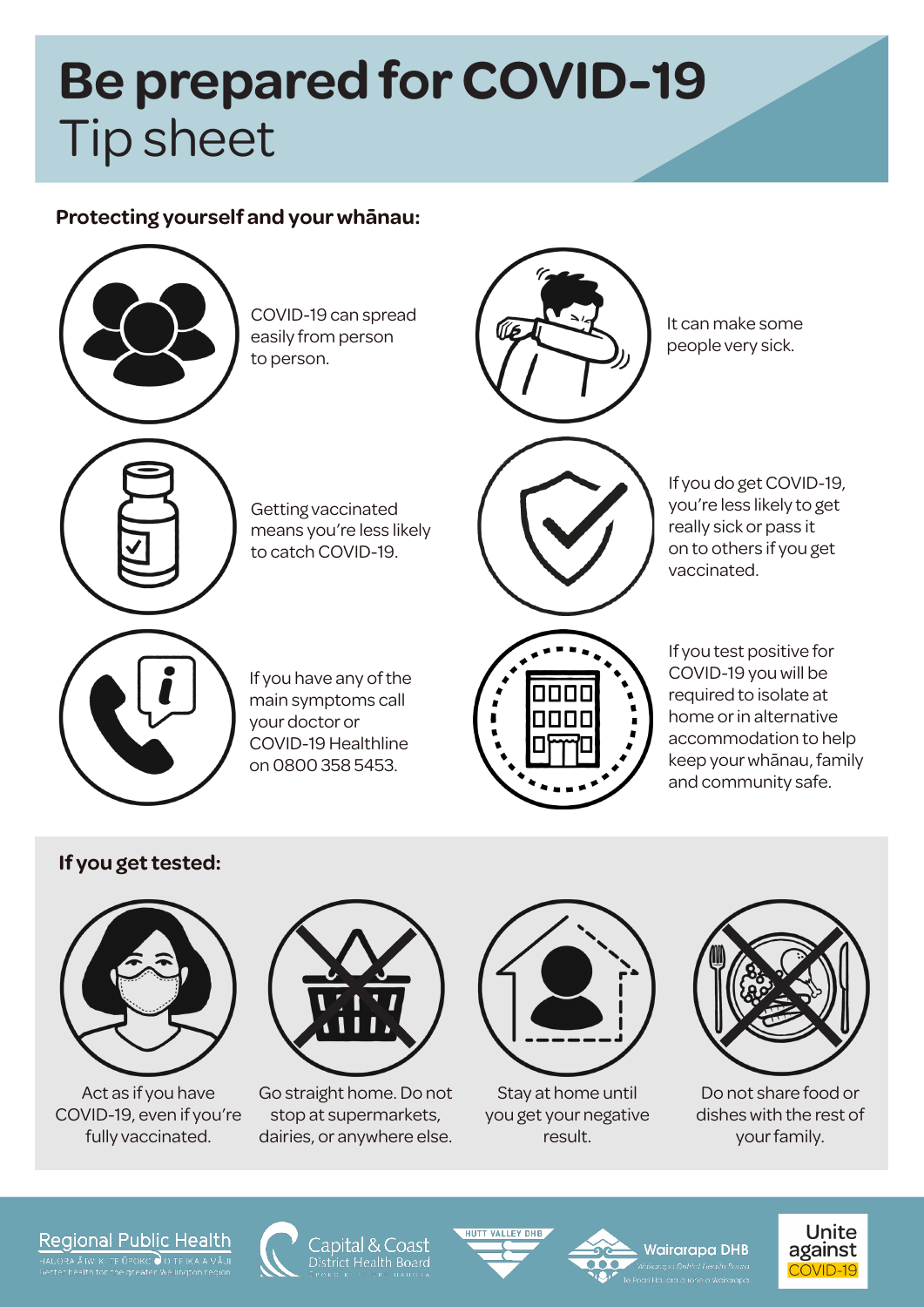# **Be prepared for COVID-19** Tip sheet

### **Protecting yourself and your whānau:**

COVID-19 can spread easily from person to person.

Getting vaccinated means you're less likely to catch COVID-19.

If you have any of the main symptoms call your doctor or COVID-19 Healthline on 0800 358 5453.



It can make some people very sick.

If you do get COVID-19, you're less likely to get really sick or pass it on to others if you get vaccinated.

If you test positive for COVID-19 you will be required to isolate at home or in alternative accommodation to help keep your whānau, family and community safe.

## **If you get tested:**



Act as if you have COVID-19, even if you're fully vaccinated.



Go straight home. Do not stop at supermarkets, dairies, or anywhere else.



Stay at home until you get your negative result.



Do not share food or dishes with the rest of your family.

**Unite** 

#### Regional Public Health

TE ŪPOKO O O TE IKA A



Capital & Coast